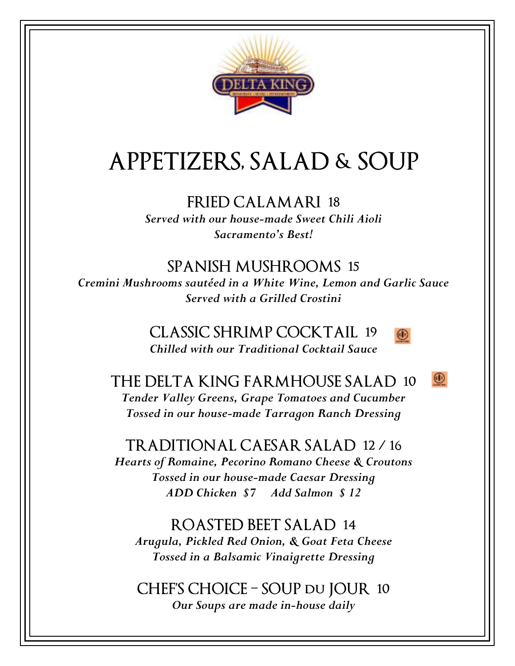

## **APPETIZERS, SALAD & SOUP**

#### **FRIED CALAMARI 18**

*Served with our house-made Sweet Chili Aioli Sacramento's Best!* 

#### **SPANISH MUSHROOMS 15**

*Cremini Mushrooms sautéed in a White Wine, Lemon and Garlic Sauce Served with a Grilled Crostini* 

> **CLASSIC SHRIMP COCKTAIL 19**  *Chilled with our Traditional Cocktail Sauce*



 $\circledcirc$ 

**THE DELTA KING FARMHOUSE SALAD 10**  *Tender Valley Greens, Grape Tomatoes and Cucumber Tossed in our house-made Tarragon Ranch Dressing* 

#### **TRADITIONAL CAESAR SALAD 12 / 16**

*Hearts of Romaine, Pecorino Romano Cheese & Croutons Tossed in our house-made Caesar Dressing ADD Chicken \$7 Add Salmon \$ 12* 

#### **ROASTED BEET SALAD 14**

*Arugula, Pickled Red Onion, & Goat Feta Cheese Tossed in a Balsamic Vinaigrette Dressing* 

### **CHEF'S CHOICE – SOUP du JOUR 10**

*Our Soups are made in-house daily*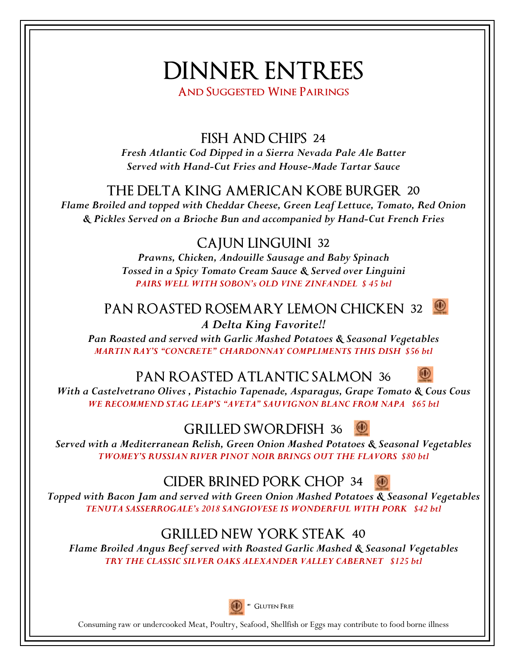# **DINNER ENTREES**

**And Suggested Wine Pairings** 

**FISH AND CHIPS 24** 

*Fresh Atlantic Cod Dipped in a Sierra Nevada Pale Ale Batter Served with Hand-Cut Fries and House-Made Tartar Sauce* 

#### **THE DELTA KING AMERICAN KOBE BURGER 20**

*Flame Broiled and topped with Cheddar Cheese, Green Leaf Lettuce, Tomato, Red Onion & Pickles Served on a Brioche Bun and accompanied by Hand-Cut French Fries* 

#### **CAJUN LINGUINI 32**

*Prawns, Chicken, Andouille Sausage and Baby Spinach Tossed in a Spicy Tomato Cream Sauce & Served over Linguini PAIRS WELL WITH SOBON's OLD VINE ZINFANDEL \$ 45 btl* 

#### **PAN ROASTED ROSEMARY LEMON CHICKEN 32**  *A Delta King Favorite!!*

*Pan Roasted and served with Garlic Mashed Potatoes & Seasonal Vegetables MARTIN RAY'S "CONCRETE" CHARDONNAY COMPLIMENTS THIS DISH \$56 btl* 

#### **PAN ROASTED ATLANTIC SALMON 36**



*With a Castelvetrano Olives , Pistachio Tapenade, Asparagus, Grape Tomato & Cous Cous WE RECOMMEND STAG LEAP'S "AVETA" SAUVIGNON BLANC FROM NAPA \$65 btl* 

#### **GRILLED SWORDFISH 36**

*Served with a Mediterranean Relish, Green Onion Mashed Potatoes & Seasonal Vegetables TWOMEY'S RUSSIAN RIVER PINOT NOIR BRINGS OUT THE FLAVORS \$80 btl* 

#### **CIDER BRINED PORK CHOP 34**

*Topped with Bacon Jam and served with Green Onion Mashed Potatoes & Seasonal Vegetables TENUTA SASSERROGALE's 2018 SANGIOVESE IS WONDERFUL WITH PORK \$42 btl* 

#### **GRILLED NEW YORK STEAK 40**

*Flame Broiled Angus Beef served with Roasted Garlic Mashed & Seasonal Vegetables TRY THE CLASSIC SILVER OAKS ALEXANDER VALLEY CABERNET \$125 btl* 



Consuming raw or undercooked Meat, Poultry, Seafood, Shellfish or Eggs may contribute to food borne illness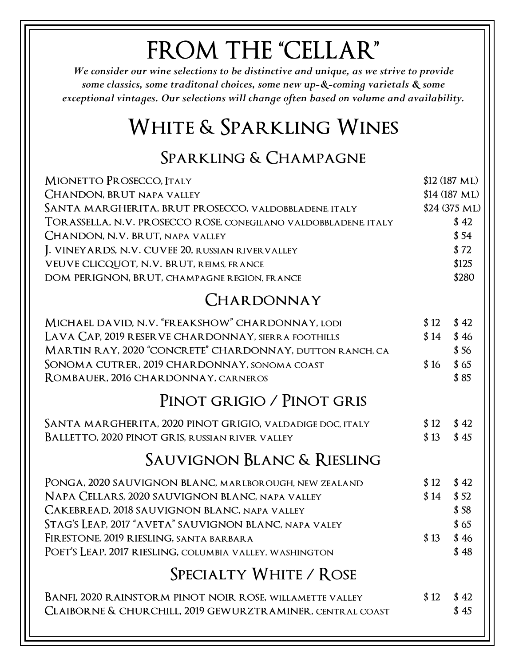# **FROM THE "CELLAR"**

*We consider our wine selections to be distinctive and unique, as we strive to provide some classics, some traditonal choices, some new up-&-coming varietals & some exceptional vintages. Our selections will change often based on volume and availability.* 

### **White & Sparkling Wines**

### **Sparkling & Champagne**

| MIONETTO PROSECCO, ITALY                                        |               | $$12(187 \text{ ML})$ |  |  |
|-----------------------------------------------------------------|---------------|-----------------------|--|--|
| <b>CHANDON, BRUT NAPA VALLEY</b>                                | \$14 (187 ML) |                       |  |  |
| SANTA MARGHERITA, BRUT PROSECCO, VALDOBBLADENE, ITALY           |               | \$24 (375 ML)         |  |  |
| TORASSELLA, N.V. PROSECCO ROSE, CONEGILANO VALDOBBLADENE, ITALY |               | \$42                  |  |  |
| CHANDON, N.V. BRUT, NAPA VALLEY                                 |               | \$54                  |  |  |
| J. VINEYARDS, N.V. CUVEE 20, RUSSIAN RIVERVALLEY                |               | \$72                  |  |  |
| VEUVE CLICQUOT, N.V. BRUT, REIMS, FRANCE                        |               | \$125                 |  |  |
| DOM PERIGNON, BRUT, CHAMPAGNE REGION, FRANCE                    |               | \$280                 |  |  |
| CHARDONNAY                                                      |               |                       |  |  |
| MICHAEL DAVID, N.V. "FREAKSHOW" CHARDONNAY, LODI                | \$12          | \$42                  |  |  |
| LAVA CAP, 2019 RESERVE CHARDONNAY, SIERRA FOOTHILLS             | \$14          | \$46                  |  |  |
| MARTIN RAY, 2020 "CONCRETE" CHARDONNAY, DUTTON RANCH, CA        |               | \$56                  |  |  |
| SONOMA CUTRER, 2019 CHARDONNAY, SONOMA COAST                    | \$16          | \$65                  |  |  |
| ROMBAUER, 2016 CHARDONNAY, CARNEROS                             |               | \$85                  |  |  |
| PINOT GRIGIO / PINOT GRIS                                       |               |                       |  |  |
| SANTA MARGHERITA, 2020 PINOT GRIGIO, VALDADIGE DOC, ITALY       | \$12          | \$42                  |  |  |
| BALLETTO, 2020 PINOT GRIS, RUSSIAN RIVER VALLEY                 | \$13          | \$45                  |  |  |
| Sauvignon Blanc & Riesling                                      |               |                       |  |  |
| PONGA, 2020 SAUVIGNON BLANC, MARLBOROUGH, NEW ZEALAND           | \$12          | \$42                  |  |  |
| NAPA CELLARS, 2020 SAUVIGNON BLANC, NAPA VALLEY                 | \$14          | \$52                  |  |  |
| CAKEBREAD, 2018 SAUVIGNON BLANC, NAPA VALLEY                    |               | \$58                  |  |  |
| STAG'S LEAP, 2017 "AVETA" SAUVIGNON BLANC, NAPA VALEY           |               | \$65                  |  |  |
| FIRESTONE, 2019 RIESLING, SANTA BARBARA                         | \$13          | \$46                  |  |  |
| Poet's Leap, 2017 riesling, columbia valley, washington         |               | \$48                  |  |  |
| SPECIALTY WHITE / ROSE                                          |               |                       |  |  |
| BANFI, 2020 RAINSTORM PINOT NOIR ROSE, WILLAMETTE VALLEY        | \$12          | \$42                  |  |  |
| CLAIBORNE & CHURCHILL, 2019 GEWURZTRAMINER, CENTRAL COAST       |               | \$45                  |  |  |
|                                                                 |               |                       |  |  |